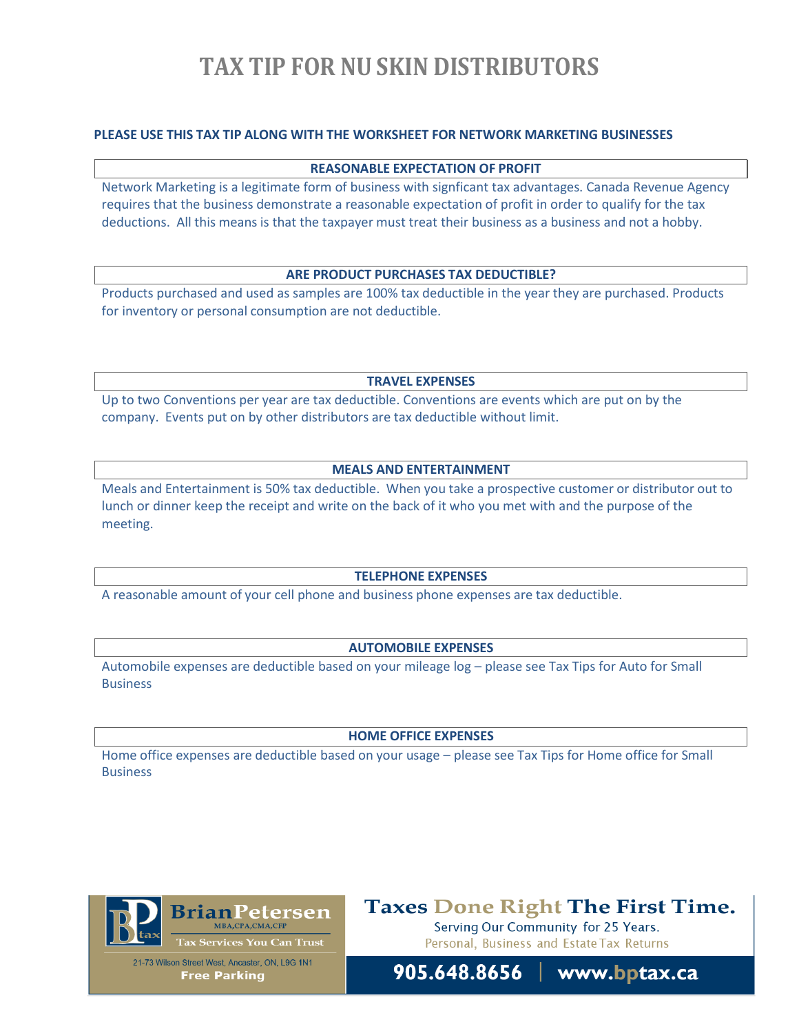# **TAX TIP FOR NU SKIN DISTRIBUTORS**

# **PLEASE USE THIS TAX TIP ALONG WITH THE WORKSHEET FOR NETWORK MARKETING BUSINESSES**

### **REASONABLE EXPECTATION OF PROFIT**

Network Marketing is a legitimate form of business with signficant tax advantages. Canada Revenue Agency requires that the business demonstrate a reasonable expectation of profit in order to qualify for the tax deductions. All this means is that the taxpayer must treat their business as a business and not a hobby.

## **ARE PRODUCT PURCHASES TAX DEDUCTIBLE?**

Products purchased and used as samples are 100% tax deductible in the year they are purchased. Products for inventory or personal consumption are not deductible.

**TRAVEL EXPENSES**

Up to two Conventions per year are tax deductible. Conventions are events which are put on by the company. Events put on by other distributors are tax deductible without limit.

# **MEALS AND ENTERTAINMENT**

Meals and Entertainment is 50% tax deductible. When you take a prospective customer or distributor out to lunch or dinner keep the receipt and write on the back of it who you met with and the purpose of the meeting.

#### **TELEPHONE EXPENSES**

A reasonable amount of your cell phone and business phone expenses are tax deductible.

### **AUTOMOBILE EXPENSES**

Automobile expenses are deductible based on your mileage log – please see Tax Tips for Auto for Small **Business** 

#### **HOME OFFICE EXPENSES**

Home office expenses are deductible based on your usage – please see Tax Tips for Home office for Small Business



**Taxes Done Right The First Time.** 

Serving Our Community for 25 Years. Personal, Business and Estate Tax Returns



905.648.8656 www.bptax.ca